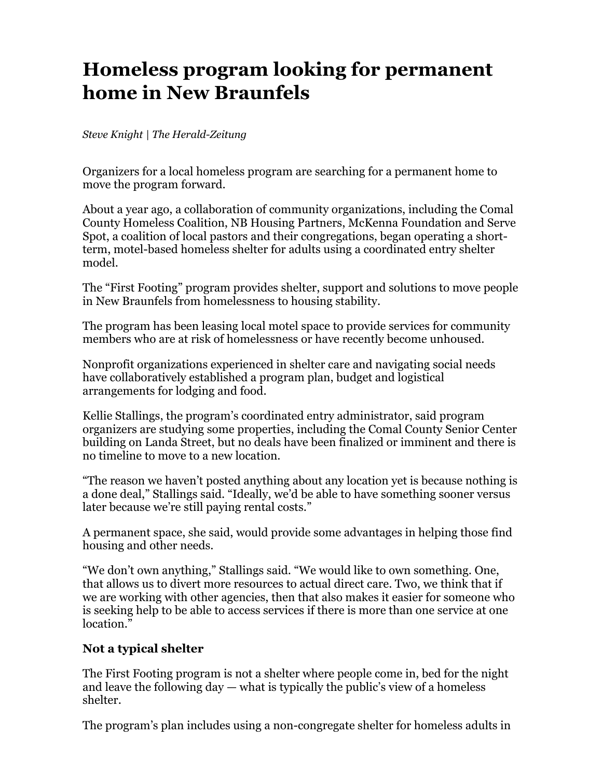# **Homeless program looking for permanent home in New Braunfels**

#### *Steve Knight | The Herald-Zeitung*

Organizers for a local homeless program are searching for a permanent home to move the program forward.

About a year ago, a collaboration of community organizations, including the Comal County Homeless Coalition, NB Housing Partners, McKenna Foundation and Serve Spot, a coalition of local pastors and their congregations, began operating a shortterm, motel-based homeless shelter for adults using a coordinated entry shelter model.

The "First Footing" program provides shelter, support and solutions to move people in New Braunfels from homelessness to housing stability.

The program has been leasing local motel space to provide services for community members who are at risk of homelessness or have recently become unhoused.

Nonprofit organizations experienced in shelter care and navigating social needs have collaboratively established a program plan, budget and logistical arrangements for lodging and food.

Kellie Stallings, the program's coordinated entry administrator, said program organizers are studying some properties, including the Comal County Senior Center building on Landa Street, but no deals have been finalized or imminent and there is no timeline to move to a new location.

"The reason we haven't posted anything about any location yet is because nothing is a done deal," Stallings said. "Ideally, we'd be able to have something sooner versus later because we're still paying rental costs."

A permanent space, she said, would provide some advantages in helping those find housing and other needs.

"We don't own anything," Stallings said. "We would like to own something. One, that allows us to divert more resources to actual direct care. Two, we think that if we are working with other agencies, then that also makes it easier for someone who is seeking help to be able to access services if there is more than one service at one location<sup>7</sup>

#### **Not a typical shelter**

The First Footing program is not a shelter where people come in, bed for the night and leave the following  $day - what$  is typically the public's view of a homeless shelter.

The program's plan includes using a non-congregate shelter for homeless adults in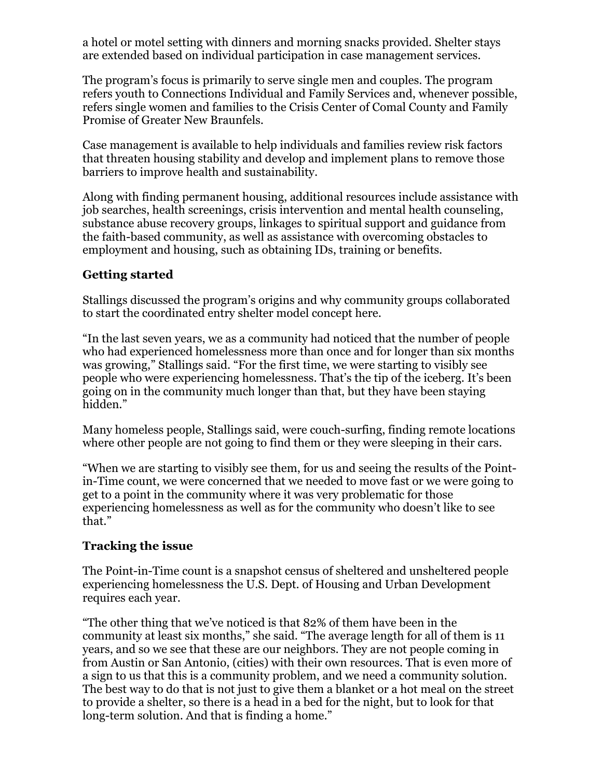a hotel or motel setting with dinners and morning snacks provided. Shelter stays are extended based on individual participation in case management services.

The program's focus is primarily to serve single men and couples. The program refers youth to Connections Individual and Family Services and, whenever possible, refers single women and families to the Crisis Center of Comal County and Family Promise of Greater New Braunfels.

Case management is available to help individuals and families review risk factors that threaten housing stability and develop and implement plans to remove those barriers to improve health and sustainability.

Along with finding permanent housing, additional resources include assistance with job searches, health screenings, crisis intervention and mental health counseling, substance abuse recovery groups, linkages to spiritual support and guidance from the faith-based community, as well as assistance with overcoming obstacles to employment and housing, such as obtaining IDs, training or benefits.

#### **Getting started**

Stallings discussed the program's origins and why community groups collaborated to start the coordinated entry shelter model concept here.

"In the last seven years, we as a community had noticed that the number of people who had experienced homelessness more than once and for longer than six months was growing," Stallings said. "For the first time, we were starting to visibly see people who were experiencing homelessness. That's the tip of the iceberg. It's been going on in the community much longer than that, but they have been staying hidden."

Many homeless people, Stallings said, were couch-surfing, finding remote locations where other people are not going to find them or they were sleeping in their cars.

"When we are starting to visibly see them, for us and seeing the results of the Pointin-Time count, we were concerned that we needed to move fast or we were going to get to a point in the community where it was very problematic for those experiencing homelessness as well as for the community who doesn't like to see that."

## **Tracking the issue**

The Point-in-Time count is a snapshot census of sheltered and unsheltered people experiencing homelessness the U.S. Dept. of Housing and Urban Development requires each year.

"The other thing that we've noticed is that 82% of them have been in the community at least six months," she said. "The average length for all of them is 11 years, and so we see that these are our neighbors. They are not people coming in from Austin or San Antonio, (cities) with their own resources. That is even more of a sign to us that this is a community problem, and we need a community solution. The best way to do that is not just to give them a blanket or a hot meal on the street to provide a shelter, so there is a head in a bed for the night, but to look for that long-term solution. And that is finding a home."